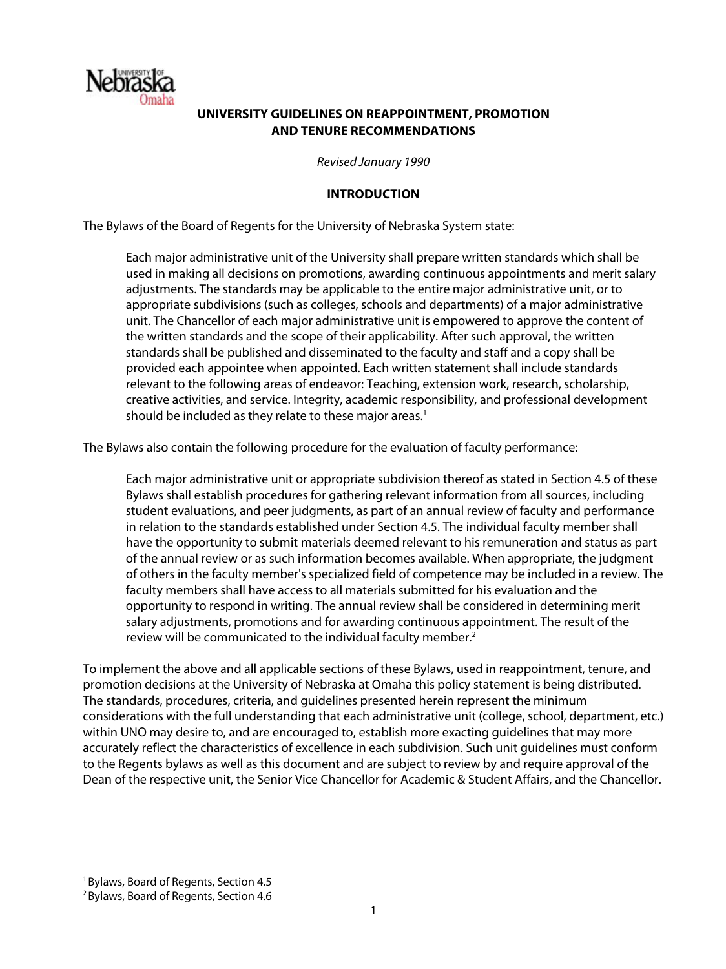

## **UNIVERSITY GUIDELINES ON REAPPOINTMENT, PROMOTION AND TENURE RECOMMENDATIONS**

*Revised January 1990*

#### **INTRODUCTION**

The Bylaws of the Board of Regents for the University of Nebraska System state:

Each major administrative unit of the University shall prepare written standards which shall be used in making all decisions on promotions, awarding continuous appointments and merit salary adjustments. The standards may be applicable to the entire major administrative unit, or to appropriate subdivisions (such as colleges, schools and departments) of a major administrative unit. The Chancellor of each major administrative unit is empowered to approve the content of the written standards and the scope of their applicability. After such approval, the written standards shall be published and disseminated to the faculty and staff and a copy shall be provided each appointee when appointed. Each written statement shall include standards relevant to the following areas of endeavor: Teaching, extension work, research, scholarship, creative activities, and service. Integrity, academic responsibility, and professional development should be included as they relate to these major areas.<sup>1</sup>

The Bylaws also contain the following procedure for the evaluation of faculty performance:

Each major administrative unit or appropriate subdivision thereof as stated in Section 4.5 of these Bylaws shall establish procedures for gathering relevant information from all sources, including student evaluations, and peer judgments, as part of an annual review of faculty and performance in relation to the standards established under Section 4.5. The individual faculty member shall have the opportunity to submit materials deemed relevant to his remuneration and status as part of the annual review or as such information becomes available. When appropriate, the judgment of others in the faculty member's specialized field of competence may be included in a review. The faculty members shall have access to all materials submitted for his evaluation and the opportunity to respond in writing. The annual review shall be considered in determining merit salary adjustments, promotions and for awarding continuous appointment. The result of the review will be communicated to the individual faculty member.<sup>2</sup>

To implement the above and all applicable sections of these Bylaws, used in reappointment, tenure, and promotion decisions at the University of Nebraska at Omaha this policy statement is being distributed. The standards, procedures, criteria, and guidelines presented herein represent the minimum considerations with the full understanding that each administrative unit (college, school, department, etc.) within UNO may desire to, and are encouraged to, establish more exacting guidelines that may more accurately reflect the characteristics of excellence in each subdivision. Such unit guidelines must conform to the Regents bylaws as well as this document and are subject to review by and require approval of the Dean of the respective unit, the Senior Vice Chancellor for Academic & Student Affairs, and the Chancellor.

<sup>&</sup>lt;sup>1</sup> Bylaws, Board of Regents, Section 4.5

<sup>2</sup>Bylaws, Board of Regents, Section 4.6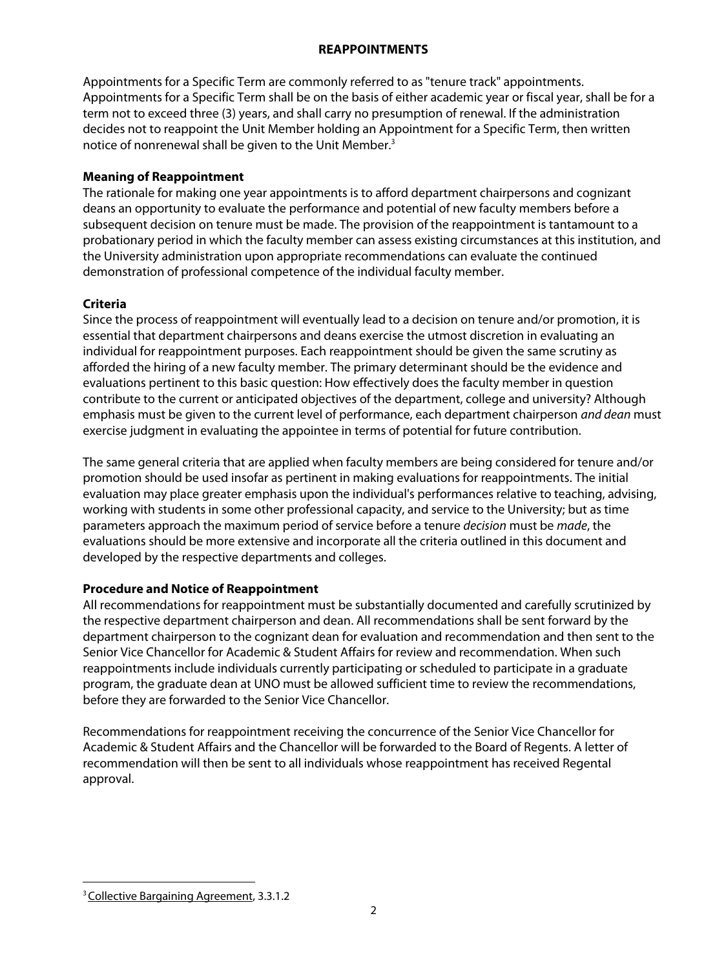#### **REAPPOINTMENTS**

Appointments for a Specific Term are commonly referred to as "tenure track" appointments. Appointments for a Specific Term shall be on the basis of either academic year or fiscal year, shall be for a term not to exceed three (3) years, and shall carry no presumption of renewal. If the administration decides not to reappoint the Unit Member holding an Appointment for a Specific Term, then written notice of nonrenewal shall be given to the Unit Member.<sup>3</sup>

# **Meaning of Reappointment**

The rationale for making one year appointments is to afford department chairpersons and cognizant deans an opportunity to evaluate the performance and potential of new faculty members before a subsequent decision on tenure must be made. The provision of the reappointment is tantamount to a probationary period in which the faculty member can assess existing circumstances at this institution, and the University administration upon appropriate recommendations can evaluate the continued demonstration of professional competence of the individual faculty member.

# **Criteria**

Since the process of reappointment will eventually lead to a decision on tenure and/or promotion, it is essential that department chairpersons and deans exercise the utmost discretion in evaluating an individual for reappointment purposes. Each reappointment should be given the same scrutiny as afforded the hiring of a new faculty member. The primary determinant should be the evidence and evaluations pertinent to this basic question: How effectively does the faculty member in question contribute to the current or anticipated objectives of the department, college and university? Although emphasis must be given to the current level of performance, each department chairperson *and dean* must exercise judgment in evaluating the appointee in terms of potential for future contribution.

The same general criteria that are applied when faculty members are being considered for tenure and/or promotion should be used insofar as pertinent in making evaluations for reappointments. The initial evaluation may place greater emphasis upon the individual's performances relative to teaching, advising, working with students in some other professional capacity, and service to the University; but as time parameters approach the maximum period of service before a tenure *decision* must be *made*, the evaluations should be more extensive and incorporate all the criteria outlined in this document and developed by the respective departments and colleges.

# **Procedure and Notice of Reappointment**

All recommendations for reappointment must be substantially documented and carefully scrutinized by the respective department chairperson and dean. All recommendations shall be sent forward by the department chairperson to the cognizant dean for evaluation and recommendation and then sent to the Senior Vice Chancellor for Academic & Student Affairs for review and recommendation. When such reappointments include individuals currently participating or scheduled to participate in a graduate program, the graduate dean at UNO must be allowed sufficient time to review the recommendations, before they are forwarded to the Senior Vice Chancellor.

Recommendations for reappointment receiving the concurrence of the Senior Vice Chancellor for Academic & Student Affairs and the Chancellor will be forwarded to the Board of Regents. A letter of recommendation will then be sent to all individuals whose reappointment has received Regental approval.

 $\overline{a}$ <sup>3</sup> Collective Bargaining Agreement, 3.3.1.2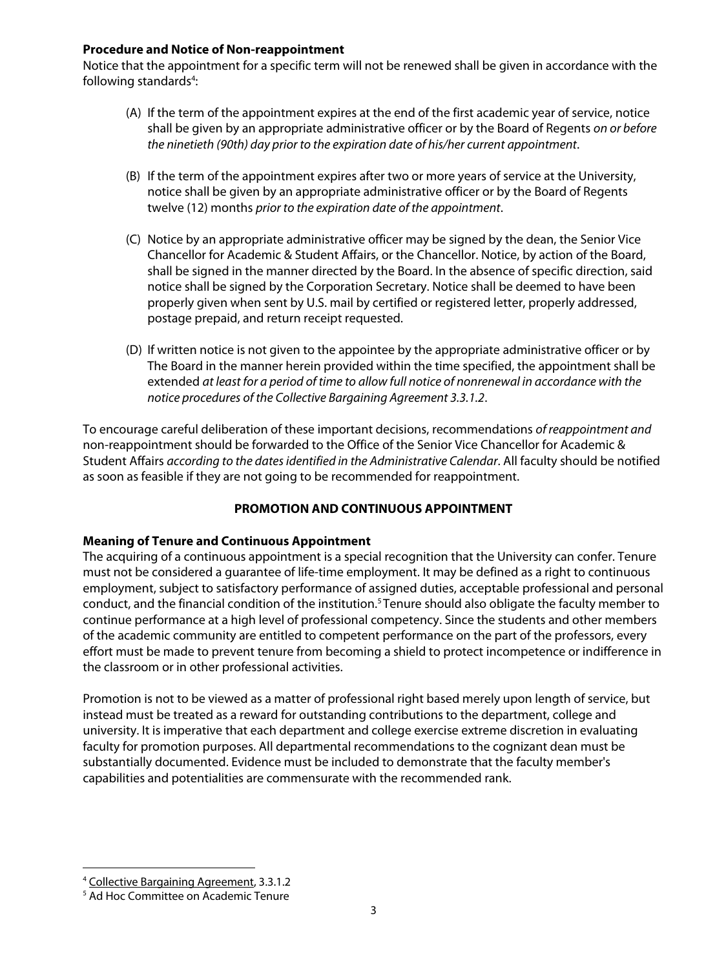#### **Procedure and Notice of Non-reappointment**

Notice that the appointment for a specific term will not be renewed shall be given in accordance with the following standards<sup>4</sup>:

- (A) If the term of the appointment expires at the end of the first academic year of service, notice shall be given by an appropriate administrative officer or by the Board of Regents *on or before the ninetieth (90th) day prior to the expiration date of his/her current appointment*.
- (B) If the term of the appointment expires after two or more years of service at the University, notice shall be given by an appropriate administrative officer or by the Board of Regents twelve (12) months *prior to the expiration date of the appointment*.
- (C) Notice by an appropriate administrative officer may be signed by the dean, the Senior Vice Chancellor for Academic & Student Affairs, or the Chancellor. Notice, by action of the Board, shall be signed in the manner directed by the Board. In the absence of specific direction, said notice shall be signed by the Corporation Secretary. Notice shall be deemed to have been properly given when sent by U.S. mail by certified or registered letter, properly addressed, postage prepaid, and return receipt requested.
- (D) If written notice is not given to the appointee by the appropriate administrative officer or by The Board in the manner herein provided within the time specified, the appointment shall be extended *at least for a period of time to allow full notice of nonrenewal in accordance with the notice procedures of the Collective Bargaining Agreement 3.3.1.2*.

To encourage careful deliberation of these important decisions, recommendations *of reappointment and*  non-reappointment should be forwarded to the Office of the Senior Vice Chancellor for Academic & Student Affairs *according to the dates identified in the Administrative Calendar*. All faculty should be notified as soon as feasible if they are not going to be recommended for reappointment.

## **PROMOTION AND CONTINUOUS APPOINTMENT**

## **Meaning of Tenure and Continuous Appointment**

The acquiring of a continuous appointment is a special recognition that the University can confer. Tenure must not be considered a guarantee of life-time employment. It may be defined as a right to continuous employment, subject to satisfactory performance of assigned duties, acceptable professional and personal conduct, and the financial condition of the institution.5 Tenure should also obligate the faculty member to continue performance at a high level of professional competency. Since the students and other members of the academic community are entitled to competent performance on the part of the professors, every effort must be made to prevent tenure from becoming a shield to protect incompetence or indifference in the classroom or in other professional activities.

Promotion is not to be viewed as a matter of professional right based merely upon length of service, but instead must be treated as a reward for outstanding contributions to the department, college and university. It is imperative that each department and college exercise extreme discretion in evaluating faculty for promotion purposes. All departmental recommendations to the cognizant dean must be substantially documented. Evidence must be included to demonstrate that the faculty member's capabilities and potentialities are commensurate with the recommended rank.

<sup>&</sup>lt;sup>4</sup> Collective Bargaining Agreement, 3.3.1.2<br><sup>5</sup> Ad Hoc Committee on Academic Tenure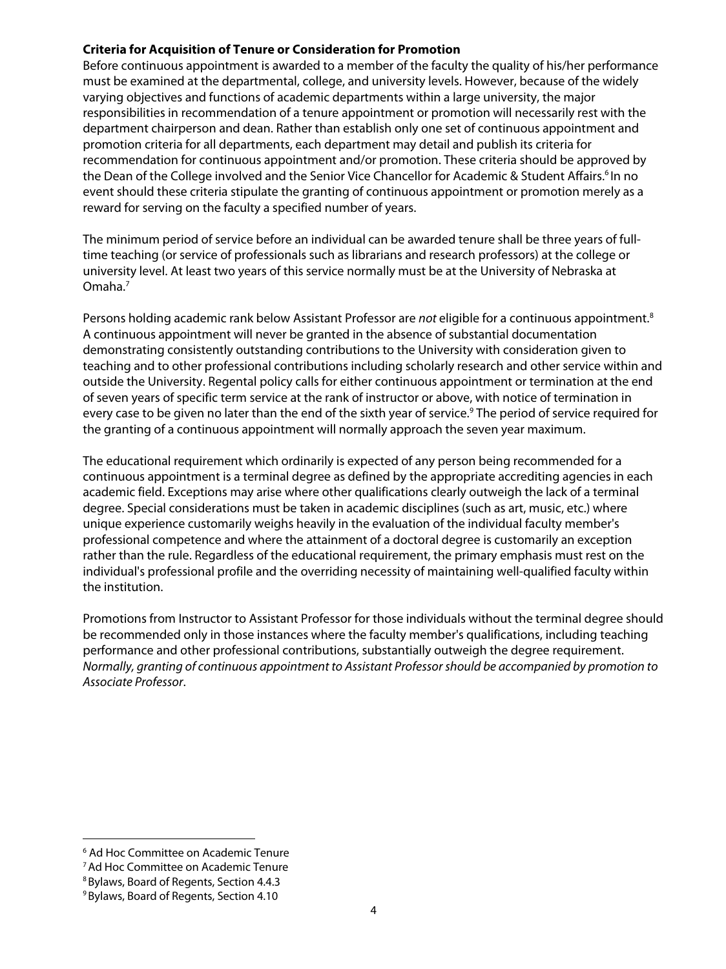#### **Criteria for Acquisition of Tenure or Consideration for Promotion**

Before continuous appointment is awarded to a member of the faculty the quality of his/her performance must be examined at the departmental, college, and university levels. However, because of the widely varying objectives and functions of academic departments within a large university, the major responsibilities in recommendation of a tenure appointment or promotion will necessarily rest with the department chairperson and dean. Rather than establish only one set of continuous appointment and promotion criteria for all departments, each department may detail and publish its criteria for recommendation for continuous appointment and/or promotion. These criteria should be approved by the Dean of the College involved and the Senior Vice Chancellor for Academic & Student Affairs.<sup>6</sup> In no event should these criteria stipulate the granting of continuous appointment or promotion merely as a reward for serving on the faculty a specified number of years.

The minimum period of service before an individual can be awarded tenure shall be three years of fulltime teaching (or service of professionals such as librarians and research professors) at the college or university level. At least two years of this service normally must be at the University of Nebraska at Omaha.7

Persons holding academic rank below Assistant Professor are *not* eligible for a continuous appointment.8 A continuous appointment will never be granted in the absence of substantial documentation demonstrating consistently outstanding contributions to the University with consideration given to teaching and to other professional contributions including scholarly research and other service within and outside the University. Regental policy calls for either continuous appointment or termination at the end of seven years of specific term service at the rank of instructor or above, with notice of termination in every case to be given no later than the end of the sixth year of service.<sup>9</sup> The period of service required for the granting of a continuous appointment will normally approach the seven year maximum.

The educational requirement which ordinarily is expected of any person being recommended for a continuous appointment is a terminal degree as defined by the appropriate accrediting agencies in each academic field. Exceptions may arise where other qualifications clearly outweigh the lack of a terminal degree. Special considerations must be taken in academic disciplines (such as art, music, etc.) where unique experience customarily weighs heavily in the evaluation of the individual faculty member's professional competence and where the attainment of a doctoral degree is customarily an exception rather than the rule. Regardless of the educational requirement, the primary emphasis must rest on the individual's professional profile and the overriding necessity of maintaining well-qualified faculty within the institution.

Promotions from Instructor to Assistant Professor for those individuals without the terminal degree should be recommended only in those instances where the faculty member's qualifications, including teaching performance and other professional contributions, substantially outweigh the degree requirement. *Normally, granting of continuous appointment to Assistant Professor should be accompanied by promotion to Associate Professor*.

<sup>6</sup> Ad Hoc Committee on Academic Tenure

<sup>7</sup>Ad Hoc Committee on Academic Tenure

<sup>8</sup>Bylaws, Board of Regents, Section 4.4.3

<sup>&</sup>lt;sup>9</sup> Bylaws, Board of Regents, Section 4.10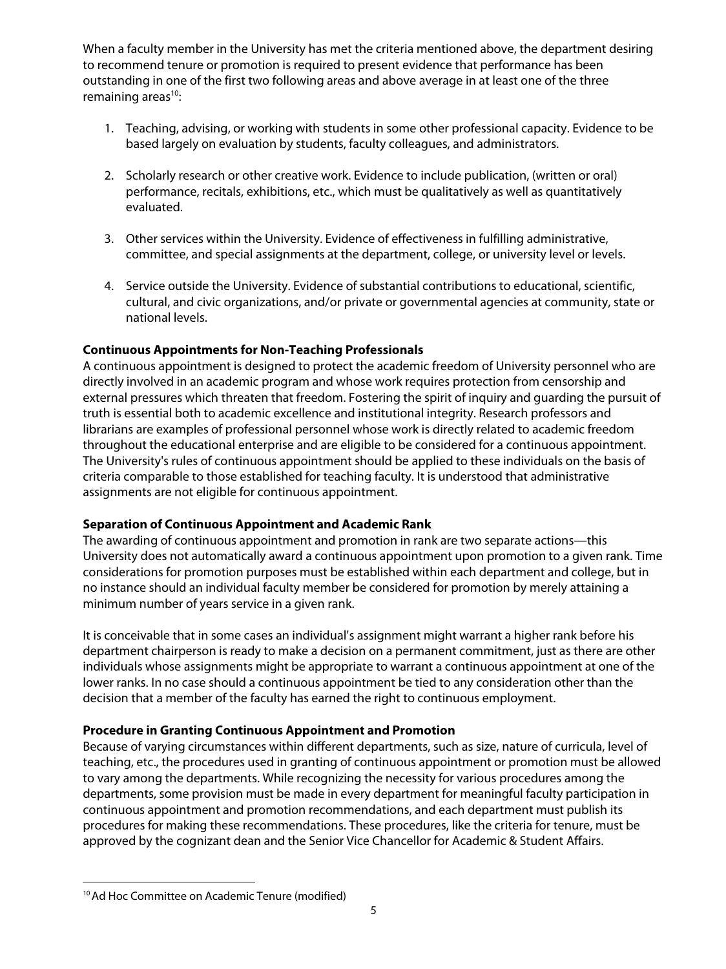When a faculty member in the University has met the criteria mentioned above, the department desiring to recommend tenure or promotion is required to present evidence that performance has been outstanding in one of the first two following areas and above average in at least one of the three remaining areas $10$ :

- 1. Teaching, advising, or working with students in some other professional capacity. Evidence to be based largely on evaluation by students, faculty colleagues, and administrators.
- 2. Scholarly research or other creative work. Evidence to include publication, (written or oral) performance, recitals, exhibitions, etc., which must be qualitatively as well as quantitatively evaluated.
- 3. Other services within the University. Evidence of effectiveness in fulfilling administrative, committee, and special assignments at the department, college, or university level or levels.
- 4. Service outside the University. Evidence of substantial contributions to educational, scientific, cultural, and civic organizations, and/or private or governmental agencies at community, state or national levels.

#### **Continuous Appointments for Non-Teaching Professionals**

A continuous appointment is designed to protect the academic freedom of University personnel who are directly involved in an academic program and whose work requires protection from censorship and external pressures which threaten that freedom. Fostering the spirit of inquiry and guarding the pursuit of truth is essential both to academic excellence and institutional integrity. Research professors and librarians are examples of professional personnel whose work is directly related to academic freedom throughout the educational enterprise and are eligible to be considered for a continuous appointment. The University's rules of continuous appointment should be applied to these individuals on the basis of criteria comparable to those established for teaching faculty. It is understood that administrative assignments are not eligible for continuous appointment.

## **Separation of Continuous Appointment and Academic Rank**

The awarding of continuous appointment and promotion in rank are two separate actions—this University does not automatically award a continuous appointment upon promotion to a given rank. Time considerations for promotion purposes must be established within each department and college, but in no instance should an individual faculty member be considered for promotion by merely attaining a minimum number of years service in a given rank.

It is conceivable that in some cases an individual's assignment might warrant a higher rank before his department chairperson is ready to make a decision on a permanent commitment, just as there are other individuals whose assignments might be appropriate to warrant a continuous appointment at one of the lower ranks. In no case should a continuous appointment be tied to any consideration other than the decision that a member of the faculty has earned the right to continuous employment.

## **Procedure in Granting Continuous Appointment and Promotion**

Because of varying circumstances within different departments, such as size, nature of curricula, level of teaching, etc., the procedures used in granting of continuous appointment or promotion must be allowed to vary among the departments. While recognizing the necessity for various procedures among the departments, some provision must be made in every department for meaningful faculty participation in continuous appointment and promotion recommendations, and each department must publish its procedures for making these recommendations. These procedures, like the criteria for tenure, must be approved by the cognizant dean and the Senior Vice Chancellor for Academic & Student Affairs.

<sup>&</sup>lt;sup>10</sup> Ad Hoc Committee on Academic Tenure (modified)